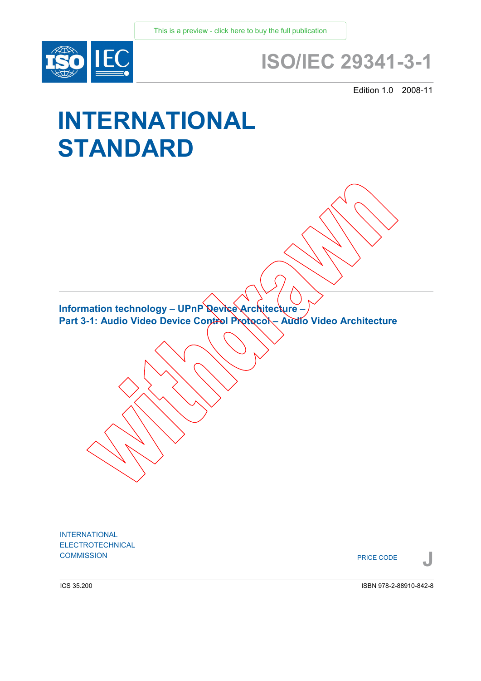

# **ISO/IEC 29341-3-1**

Edition 1.0 2008-11

# **INTERNATIONAL STANDARD**

**Information technology – UPnP Device Architecture –**  Part 3-1: Audio Video Device Control Protocol – Audio Video Architecture

INTERNATIONAL ELECTROTECHNICAL **COMMISSION**<br> **PRICE CODE** 

PRICE CODE

ICS 35.200

ISBN 978-2-88910-842-8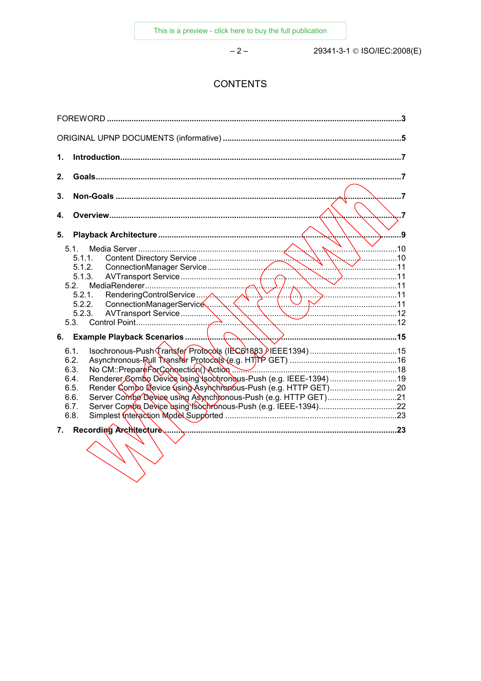$-2-$ 

29341-3-1 © ISO/IEC:2008(E)

# **CONTENTS**

| 1. |                                                                                                                                                                         |  |
|----|-------------------------------------------------------------------------------------------------------------------------------------------------------------------------|--|
| 2. |                                                                                                                                                                         |  |
| 3. |                                                                                                                                                                         |  |
| 4. |                                                                                                                                                                         |  |
| 5. | 9                                                                                                                                                                       |  |
|    | 5.1.<br>5.1.1.<br>5.1.2.<br>5.1.3.<br>5.2<br>5.2.1.<br>5.2.2.<br>5.2.3.<br>5.3.                                                                                         |  |
| 6. |                                                                                                                                                                         |  |
|    | 6.1.<br>6.2.<br>No CM::Prepare PorConnection Action<br>6.3.<br>Renderer Combo Device dsing \sockronous-Push (e.g. IEEE-1394) 19<br>6.4.<br>6.5.<br>6.6.<br>6.7.<br>6.8. |  |
| 7. |                                                                                                                                                                         |  |
|    |                                                                                                                                                                         |  |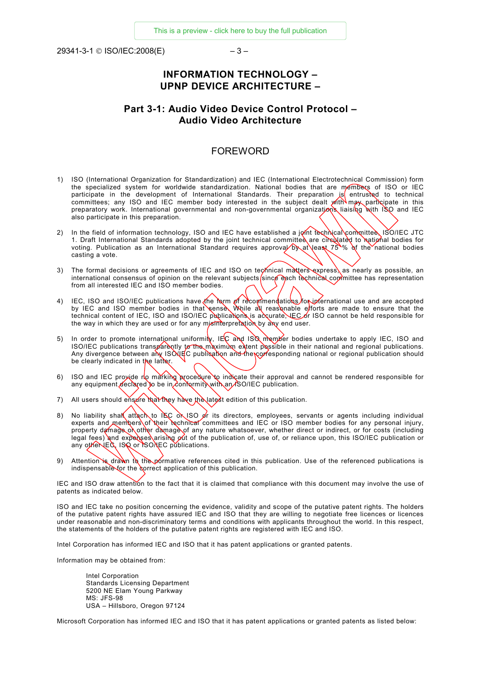<span id="page-2-0"></span>29341-3-1 © ISO/IEC:2008(E) – 3 –

## **INFORMATION TECHNOLOGY – UPNP DEVICE ARCHITECTURE –**

## **Part 3-1: Audio Video Device Control Protocol – Audio Video Architecture**

### FOREWORD

- 1) ISO (International Organization for Standardization) and IEC (International Electrotechnical Commission) form the specialized system for worldwide standardization. National bodies that are members of ISO or IEC participate in the development of International Standards. Their preparation is entrusted to technical committees; any ISO and IEC member body interested in the subject dealt with may participate in this preparatory work. International governmental and non-governmental organizations liaising with ISO and IEC also participate in this preparation.
- 2) In the field of information technology, ISO and IEC have established a joint technical commuttee, ISO/IEC JTC 1. Draft International Standards adopted by the joint technical committee are circulated to national bodies for voting. Publication as an International Standard requires approval by at least 75 % of the national bodies casting a vote.
- 3) The formal decisions or agreements of IEC and ISO on technical matters express, as nearly as possible, an international consensus of opinion on the relevant subjects since each technical committee has representation from all interested IEC and ISO member bodies.
- 4) IEC, ISO and ISO/IEC publications have the form of recommendations for international use and are accepted by IEC and ISO member bodies in that sense. While all reasonable efforts are made to ensure that the technical content of IEC, ISO and ISO/IEC publications is accurate, IEC or ISO cannot be held responsible for the way in which they are used or for any mistriture pretation by any end user.
- 5) In order to promote international uniformity, IEC and ISQ member bodies undertake to apply IEC, ISO and ISO/IEC publications transparently to the maximum extent possible in their national and regional publications. Any divergence between any ISONEC publication and the corresponding national or regional publication should be clearly indicated in the latter.
- 6) ISO and IEC proxide no marking procedure to indicate their approval and cannot be rendered responsible for any equipment declared to be in conformity with an ISO/IEC publication.
- 7) All users should ensure that they have the latest edition of this publication.
- 8) No liability shall attach to IEC or ISO or its directors, employees, servants or agents including individual experts and members of their rechnical committees and IEC or ISO member bodies for any personal injury, property damage of other damage of any nature whatsoever, whether direct or indirect, or for costs (including legal fees) and expenses arising  $\varphi$  of the publication of, use of, or reliance upon, this ISO/IEC publication or any other IEQ, ISQ or ISONEC publications.
- 9) Attention is drawn to the pormative references cited in this publication. Use of the referenced publications is indispensable for the correct application of this publication.

IEC and ISO draw attention to the fact that it is claimed that compliance with this document may involve the use of patents as indicated below.

ISO and IEC take no position concerning the evidence, validity and scope of the putative patent rights. The holders of the putative patent rights have assured IEC and ISO that they are willing to negotiate free licences or licences under reasonable and non-discriminatory terms and conditions with applicants throughout the world. In this respect, the statements of the holders of the putative patent rights are registered with IEC and ISO.

Intel Corporation has informed IEC and ISO that it has patent applications or granted patents.

Information may be obtained from:

Intel Corporation Standards Licensing Department 5200 NE Elam Young Parkway MS: JFS-98 USA – Hillsboro, Oregon 97124

Microsoft Corporation has informed IEC and ISO that it has patent applications or granted patents as listed below: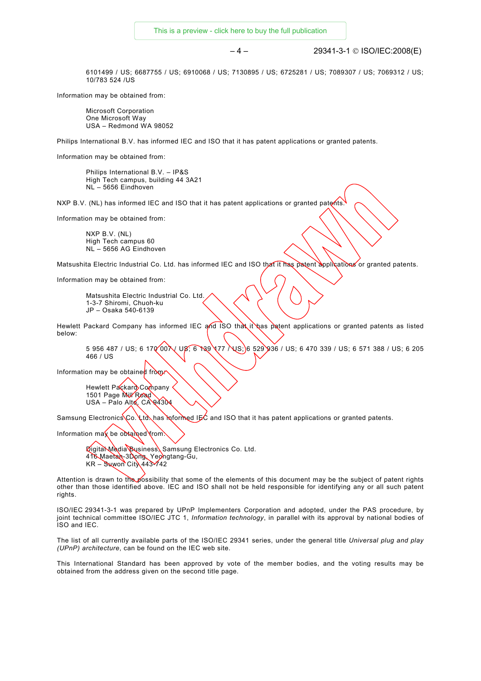[This is a preview - click here to buy the full publication](https://webstore.iec.ch/publication/21481&preview=1)

#### – 4 – 29341-3-1 © ISO/IEC:2008(E)

6101499 / US; 6687755 / US; 6910068 / US; 7130895 / US; 6725281 / US; 7089307 / US; 7069312 / US; 10/783 524 /US

Information may be obtained from:

Microsoft Corporation One Microsoft Way USA – Redmond WA 98052

Philips International B.V. has informed IEC and ISO that it has patent applications or granted patents.

Information may be obtained from:

Philips International B.V. – IP&S High Tech campus, building 44 3A21 NL – 5656 Eindhoven

NXP B.V. (NL) has informed IEC and ISO that it has patent applications or granted patents.

Information may be obtained from:

NXP B.V. (NL) High Tech campus 60 NL – 5656 AG Eindhoven

Matsushita Electric Industrial Co. Ltd. has informed IEC and ISO that it has patent applications or granted patents.

Information may be obtained from:

Matsushita Electric Industrial Co. Ltd. 1-3-7 Shiromi, Chuoh-ku JP – Osaka 540-6139

Hewlett Packard Company has informed IEC and ISO that it has patent applications or granted patents as listed below:

5 956 487 / US; 6 170 00 \ US; 6 139 177 \ US; 6 529 936 / US; 6 470 339 / US; 6 571 388 / US; 6 205 466 / US

Information may be obtained from:

Hewlett Packard Company 1501 Page Mill Road USA – Palo Alto, CA 94304

Samsung Electronics Co. Ltd. has informed IEC and ISO that it has patent applications or granted patents.

Information may be obtained from

Digital Media Business, Samsung Electronics Co. Ltd. 416 Maetan-3Dong, Yeongtang-Gu,  $KR - \text{S}$ uwon City 443-742

Attention is drawn to the possibility that some of the elements of this document may be the subject of patent rights other than those identified above. IEC and ISO shall not be held responsible for identifying any or all such patent rights.

ISO/IEC 29341-3-1 was prepared by UPnP Implementers Corporation and adopted, under the PAS procedure, by joint technical committee ISO/IEC JTC 1, *Information technology*, in parallel with its approval by national bodies of ISO and IEC.

The list of all currently available parts of the ISO/IEC 29341 series, under the general title *Universal plug and play (UPnP) architecture*, can be found on the IEC web site.

This International Standard has been approved by vote of the member bodies, and the voting results may be obtained from the address given on the second title page.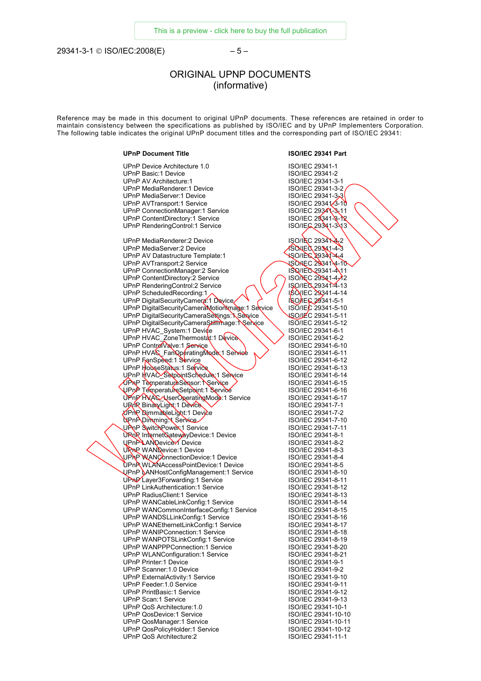<span id="page-4-0"></span>29341-3-1 © ISO/IEC:2008(E) – 5 –

# ORIGINAL UPNP DOCUMENTS (informative)

Reference may be made in this document to original UPnP documents. These references are retained in order to maintain consistency between the specifications as published by ISO/IEC and by UPnP Implementers Corporation. The following table indicates the original UPnP document titles and the corresponding part of ISO/IEC 29341:

#### **UPnP Document Title ISO/IEC 29341 Part**

| UPnP Device Architecture 1.0                     | ISO/IEC 29341-1                 |
|--------------------------------------------------|---------------------------------|
| <b>UPnP Basic:1 Device</b>                       | ISO/IEC 29341-2                 |
| UPnP AV Architecture:1                           | ISO/IEC 29341-3-1               |
| UPnP MediaRenderer: 1 Device                     | ISO/IEC 29341-3-2               |
| <b>UPnP MediaServer:1 Device</b>                 | ISO/IEC 29341-3-3               |
|                                                  |                                 |
| UPnP AVTransport:1 Service                       | ISO/IEC 29341 <sup>2</sup> 3-10 |
| UPnP ConnectionManager:1 Service                 | ISO/IEC 29341-3-11              |
| UPnP ContentDirectory:1 Service                  | ISO/IEC 29341-8-12              |
| UPnP RenderingControl:1 Service                  | ISO/IEG 29341-343               |
|                                                  |                                 |
| UPnP MediaRenderer:2 Device                      | ISO/IEC 293474-2                |
| <b>UPnP MediaServer:2 Device</b>                 | SONE 3 29341-4-3                |
| UPnP AV Datastructure Template:1                 | <b>NSOILEG 29341-4-4</b>        |
|                                                  | <b>USONEC 293414-10</b>         |
| UPnP AVTransport:2 Service                       |                                 |
| UPnP ConnectionManager:2 Service                 | ISQ/IEC 29341-411               |
| UPnP ContentDirectory:2 Service                  | ISO/NEC 29341-4-12              |
| UPnP RenderingControl:2 Service                  | ISO/IEG 29341-4-13              |
| UPnP ScheduledRecording:1                        | <b>ISO IEC 29341-4-14</b>       |
| UPnP DigitalSecurityCamera: 1 Device             | ISO/IE 6 29341-5-1              |
| UPnP DigitalSecurityCameraMotion mage: 1 Service | ISO/IEC 29341-5-10              |
| UPnP DigitalSecurityCameraSettings: NService     | <b>ISO/JEC 29341-5-11</b>       |
| UPnP DigitalSecurityCameraStilltmage: NSelvice   | ISO/IEC 29341-5-12              |
|                                                  | ISO/IEC 29341-6-1               |
| UPnP HVAC_System:1 Device                        |                                 |
| UPnP HVAC_ZoneThermostat:1 Device                | ISO/IEC 29341-6-2               |
| UPnP Control Valve: 1 Service                    | ISO/IEC 29341-6-10              |
| UPnP HVA& FanQperatingMode 1 Serviee             | ISO/IEC 29341-6-11              |
| UPnP FanSpeed:1 Service                          | ISO/IEC 29341-6-12              |
| UPnP HouseStatus: 1 Service                      | ISO/IEC 29341-6-13              |
| UPnP HVAC SetpointSchedule 1 Service             | ISO/IEC 29341-6-14              |
| UPRP TemperatureSensor: NService                 | ISO/IEC 29341-6-15              |
| UPnP TemperatureSetpoint:1 Service               | ISO/IEC 29341-6-16              |
|                                                  |                                 |
| UPnP HVAC UserOperatingMode:1 Service            | ISO/IEC 29341-6-17              |
| URMR BinaryLight: 1 Device                       | ISO/IEC 29341-7-1               |
| OPnP DimmableLight:1 Device                      | ISO/IEC 29341-7-2               |
| UPnP Dimming Y Service                           | ISO/IEC 29341-7-10              |
| UPnP SwitchPower 1 Service                       | ISO/IEC 29341-7-11              |
| UPOR InternetGatewayDevice:1 Device              | ISO/IEC 29341-8-1               |
| UPnPLANDevice-1 Device                           | ISO/IEC 29341-8-2               |
| URRP WANDevice: 1 Device                         | ISO/IEC 29341-8-3               |
| UPAP WANConnectionDevice: 1 Device               | ISO/IEC 29341-8-4               |
| <b>UPnP WLANAccessPointDevice:1 Device</b>       | ISO/IEC 29341-8-5               |
|                                                  | ISO/IEC 29341-8-10              |
| UPnP LANHostConfigManagement:1 Service           |                                 |
| UP <sub>NP</sub> Layer3Forwarding:1 Service      | ISO/IEC 29341-8-11              |
| <b>UPnP LinkAuthentication:1 Service</b>         | ISO/IEC 29341-8-12              |
| UPnP RadiusClient:1 Service                      | ISO/IEC 29341-8-13              |
| UPnP WANCableLinkConfig:1 Service                | ISO/IEC 29341-8-14              |
| UPnP WANCommonInterfaceConfig:1 Service          | ISO/IEC 29341-8-15              |
| UPnP WANDSLLinkConfig:1 Service                  | ISO/IEC 29341-8-16              |
| UPnP WANEthernetLinkConfig:1 Service             | ISO/IEC 29341-8-17              |
| UPnP WANIPConnection:1 Service                   | ISO/IEC 29341-8-18              |
| UPnP WANPOTSLinkConfig:1 Service                 | ISO/IEC 29341-8-19              |
|                                                  |                                 |
| UPnP WANPPPConnection:1 Service                  | ISO/IEC 29341-8-20              |
| UPnP WLANConfiguration:1 Service                 | ISO/IEC 29341-8-21              |
| <b>UPnP Printer:1 Device</b>                     | ISO/IEC 29341-9-1               |
| UPnP Scanner: 1.0 Device                         | ISO/IEC 29341-9-2               |
| UPnP ExternalActivity:1 Service                  | ISO/IEC 29341-9-10              |
| UPnP Feeder:1.0 Service                          | ISO/IEC 29341-9-11              |
| UPnP PrintBasic:1 Service                        | ISO/IEC 29341-9-12              |
| UPnP Scan: 1 Service                             | ISO/IEC 29341-9-13              |
| UPnP QoS Architecture: 1.0                       | ISO/IEC 29341-10-1              |
|                                                  |                                 |
| <b>UPnP QosDevice:1 Service</b>                  | ISO/IEC 29341-10-10             |
| <b>UPnP QosManager:1 Service</b>                 | ISO/IEC 29341-10-11             |
| UPnP QosPolicyHolder:1 Service                   | ISO/IEC 29341-10-12             |
| UPnP QoS Architecture:2                          | ISO/IEC 29341-11-1              |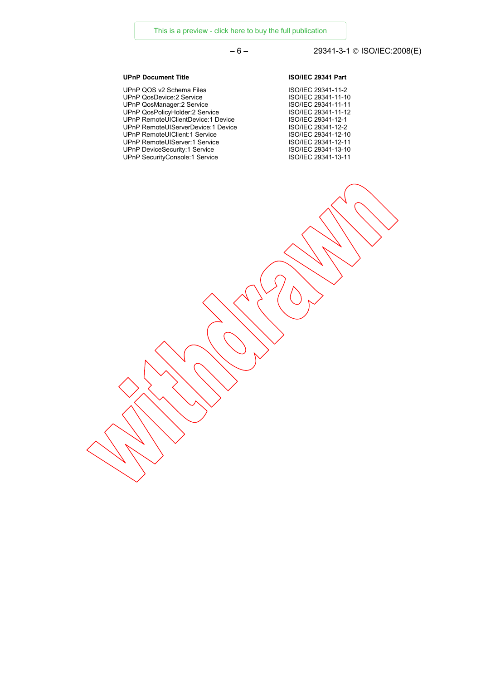### [This is a preview - click here to buy the full publication](https://webstore.iec.ch/publication/21481&preview=1)

# – 6 – 29341-3-1 © ISO/IEC:2008(E)

UPnP QOS v2 Schema Files ISO/IEC 29341-11-2 UPnP QosDevice:2 Service **ISO/IEC 29341-11-10** UPnP QosManager:2 Service ISO/IEC 29341-11-11 UPnP QosPolicyHolder:2 Service ISO/IEC 29341-11-12 UPnP RemoteUIClientDevice:1 Device ISO/IEC 29341-12-1 UPnP RemoteUIServerDevice: 1 Device UPnP RemoteUIClient:1 Service ISO/IEC 29341-12-10 UPnP RemoteUIServer:1 Service ISO/IEC 29341-12-11 UPnP DeviceSecurity:1 Service ISO/IEC 29341-13-10 UPnP SecurityConsole:1 Service ISO/IEC 29341-13-11

#### **UPnP Document Title ISO/IEC 29341 Part**

| SO/IEC 29341-11-2  |
|--------------------|
| SO/IEC 29341-11-10 |
| SO/IEC 29341-11-11 |
| SO/IEC 29341-11-12 |
| SO/IEC 29341-12-1  |
| SO/IEC 29341-12-2  |
| SO/IEC 29341-12-10 |
| SO/IEC 29341-12-11 |
| SO/IEC 29341-13-10 |
| SO/IEC 29341-13-11 |